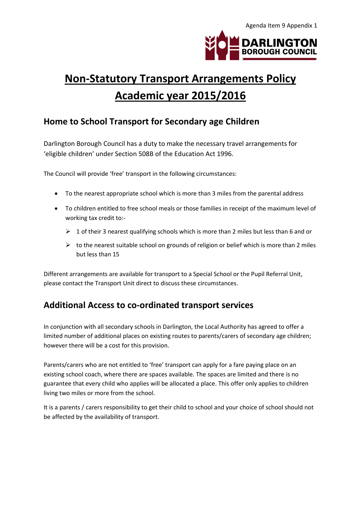

# **Non-Statutory Transport Arrangements Policy Academic year 2015/2016**

## **Home to School Transport for Secondary age Children**

Darlington Borough Council has a duty to make the necessary travel arrangements for 'eligible children' under Section 508B of the Education Act 1996.

The Council will provide 'free' transport in the following circumstances:

- To the nearest appropriate school which is more than 3 miles from the parental address
- To children entitled to free school meals or those families in receipt of the maximum level of working tax credit to:-
	- $\geq 1$  of their 3 nearest qualifying schools which is more than 2 miles but less than 6 and or
	- $\triangleright$  to the nearest suitable school on grounds of religion or belief which is more than 2 miles but less than 15

Different arrangements are available for transport to a Special School or the Pupil Referral Unit, please contact the Transport Unit direct to discuss these circumstances.

## **Additional Access to co-ordinated transport services**

In conjunction with all secondary schools in Darlington, the Local Authority has agreed to offer a limited number of additional places on existing routes to parents/carers of secondary age children; however there will be a cost for this provision.

Parents/carers who are not entitled to 'free' transport can apply for a fare paying place on an existing school coach, where there are spaces available. The spaces are limited and there is no guarantee that every child who applies will be allocated a place. This offer only applies to children living two miles or more from the school.

It is a parents / carers responsibility to get their child to school and your choice of school should not be affected by the availability of transport.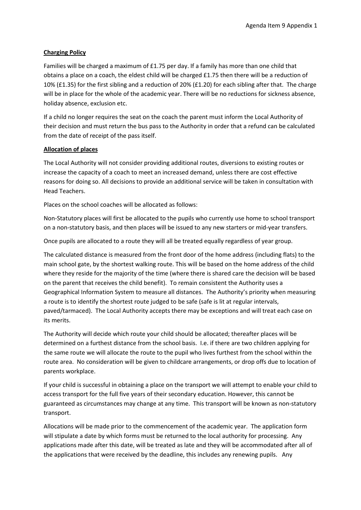#### **Charging Policy**

Families will be charged a maximum of £1.75 per day. If a family has more than one child that obtains a place on a coach, the eldest child will be charged £1.75 then there will be a reduction of 10% (£1.35) for the first sibling and a reduction of 20% (£1.20) for each sibling after that. The charge will be in place for the whole of the academic year. There will be no reductions for sickness absence, holiday absence, exclusion etc.

If a child no longer requires the seat on the coach the parent must inform the Local Authority of their decision and must return the bus pass to the Authority in order that a refund can be calculated from the date of receipt of the pass itself.

#### **Allocation of places**

The Local Authority will not consider providing additional routes, diversions to existing routes or increase the capacity of a coach to meet an increased demand, unless there are cost effective reasons for doing so. All decisions to provide an additional service will be taken in consultation with Head Teachers.

Places on the school coaches will be allocated as follows:

Non-Statutory places will first be allocated to the pupils who currently use home to school transport on a non-statutory basis, and then places will be issued to any new starters or mid-year transfers.

Once pupils are allocated to a route they will all be treated equally regardless of year group.

The calculated distance is measured from the front door of the home address (including flats) to the main school gate, by the shortest walking route. This will be based on the home address of the child where they reside for the majority of the time (where there is shared care the decision will be based on the parent that receives the child benefit). To remain consistent the Authority uses a Geographical Information System to measure all distances. The Authority's priority when measuring a route is to identify the shortest route judged to be safe (safe is lit at regular intervals, paved/tarmaced). The Local Authority accepts there may be exceptions and will treat each case on its merits.

The Authority will decide which route your child should be allocated; thereafter places will be determined on a furthest distance from the school basis. I.e. if there are two children applying for the same route we will allocate the route to the pupil who lives furthest from the school within the route area. No consideration will be given to childcare arrangements, or drop offs due to location of parents workplace.

If your child is successful in obtaining a place on the transport we will attempt to enable your child to access transport for the full five years of their secondary education. However, this cannot be guaranteed as circumstances may change at any time. This transport will be known as non-statutory transport.

Allocations will be made prior to the commencement of the academic year. The application form will stipulate a date by which forms must be returned to the local authority for processing. Any applications made after this date, will be treated as late and they will be accommodated after all of the applications that were received by the deadline, this includes any renewing pupils. Any